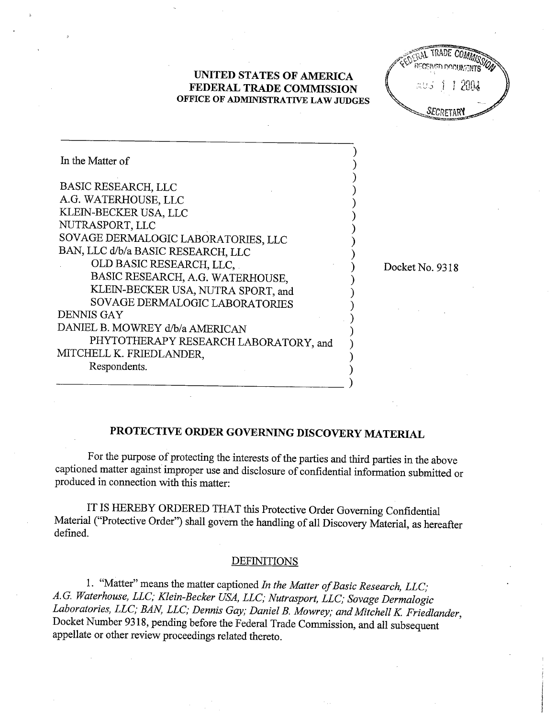### UNITED STATES OF AMRICA FEDERAL TRADE COMMISSION OFFICE OF ADMINISTRATIVE LAW JUDGES



Docket No. 9318

| In the Matter of                      |  |
|---------------------------------------|--|
|                                       |  |
| <b>BASIC RESEARCH, LLC</b>            |  |
| A.G. WATERHOUSE, LLC                  |  |
| KLEIN-BECKER USA, LLC                 |  |
| NUTRASPORT, LLC                       |  |
| SOVAGE DERMALOGIC LABORATORIES, LLC   |  |
| BAN, LLC d/b/a BASIC RESEARCH, LLC    |  |
| OLD BASIC RESEARCH, LLC,              |  |
| BASIC RESEARCH, A.G. WATERHOUSE,      |  |
| KLEIN-BECKER USA, NUTRA SPORT, and    |  |
| SOVAGE DERMALOGIC LABORATORIES        |  |
| DENNIS GAY                            |  |
| DANIEL B. MOWREY d/b/a AMERICAN       |  |
| PHYTOTHERAPY RESEARCH LABORATORY, and |  |
| MITCHELL K. FRIEDLANDER,              |  |
| Respondents.                          |  |
|                                       |  |

# PROTECTIVE ORDER GOVERNING DISCOVERY MATERIAL

For the purpose of protecting the interests of the parties and third parties in the above captioned matter against improper use and disclosure of confidential information submitted or produced in connection with this matter:

IT IS HEREBY ORDERED THAT this Protective Order Governing Confdential Material ("Protective Order") shall govern the handling of all Discovery Material, as hereafter defined.

#### **DEFINITIONS**

1. "Matter" means the matter captioned In the Matter of Basic Research, LLC; A. G. Waterhouse, LLC; Klein-Becker USA, LLC; Nutrasport, LLC' Sovage Dermalogic Laboratories, LLC; BAN, LLC; Dennis Gay; Daniel B. Mowrey; and Mitchell K. Friedlander, Docket Number 9318, pending before the Federal Trade Commission, and all subsequent appellate or other review proceedings related thereto.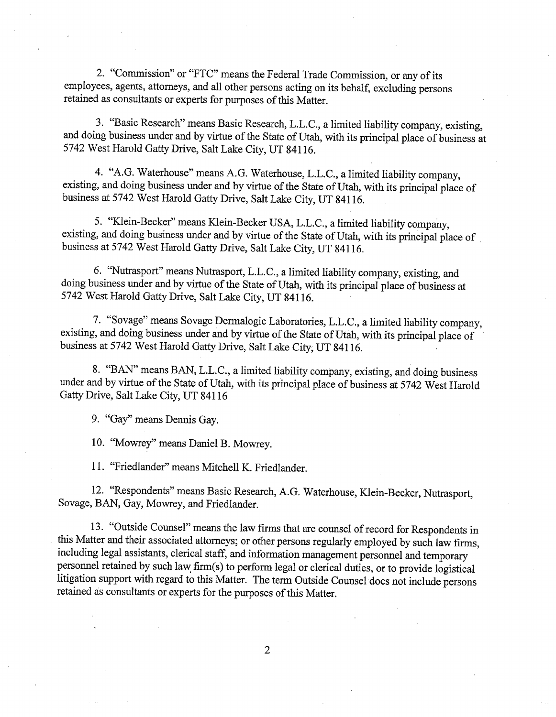2. "Commission" or "FTC" means the Federal Trade Commission, or any of its employees, agents, attorneys, and all other persons acting on its behalf, excluding persons retained as consultants or experts for puroses of ths Matter.

3. "Basic Research" means Basic Research, L.L.C., a limited liability company, existing, and doing business under and by virtue of the State of Utah, with its principal place of business at 5742 West Harold Gatty Drive, Salt Lake City, UT 84116.

4. "AG. Waterhouse" means A.G. Waterhouse, L.L.C., a limited liability company, existing, and doing business under and by virtue of the State of Utah, with its principal place of business at 5742 West Harold Gatty Drive, Salt Lake City, UT 84116.

5. "Klein-Becker" means Klein-Becker USA, L.L.C., a limited liability company, existing, and doing business under and by virtue of the State of Utah, with its principal place of business at 5742 West Harold Gatty Drive, Salt Lake City, UT 84116.

6. "Nutrasport" means Nutrasport, L.L.C., a limited liability company, existing, and doing business under and by virtue of the State of Utah, with its principal place of business at 5742 West Harold Gatty Drive, Salt Lake City, UT 84116.

7. "Sovage" means Sovage Dermalogic Laboratories, L.L.c., a limited liability company, existing, and doing business under and by virue of the State of Utah, with its principal place of business at 5742 West Harold Gatty Drive, Salt Lake City, UT 84116.

8. "BAN" means BAN, L.L.C., a limited liability company, existing, and doing business under and by virtue of the State of Utah, with its principal place of business at 5742 West Harold Gatty Drive, Salt Lake City, UT 84116

9. "Gay" means Denns Gay.

10. "Mowrey" means Daniel B. Mowrey.

11. "Friedlander" means Mitchell K. Friedlander.

12. "Respondents" means Basic Research, A.G. Waterhouse, Klein-Becker, Nutrasport Sovage, BAN, Gay, Mowrey, and Friedlander.

13. "Outside Counsel" means the law firms that are counsel of record for Respondents in this Matter and their associated attorneys; or other persons regularly employed by such law firms, including legal assistants, clerical staff, and information management personnel and temporary personnel retained by such law firm(s) to perform legal or clerical duties, or to provide logistical litigation support with regard to this Matter. The term Outside Counsel does not include persons retained as consultants or experts for the puroses of this Matter.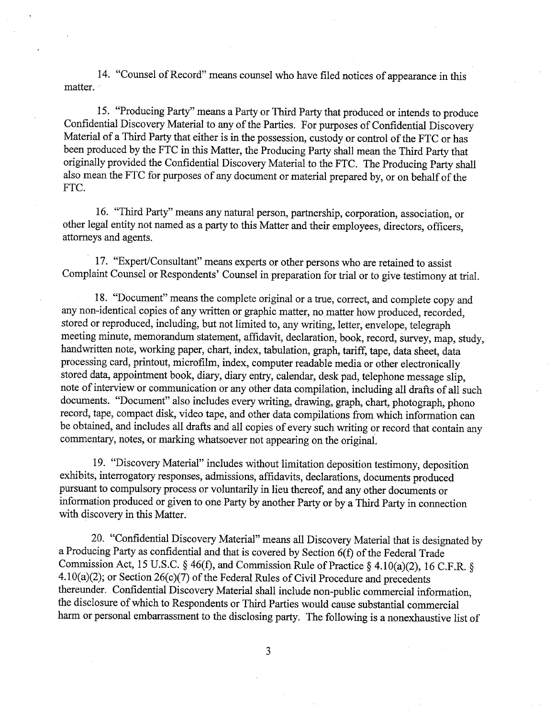14. "Counsel of Record" means counsel who have filed notices of appearance in this matter.

15. "Producing Party" means a Party or Third Party that produced or intends to produce Confidential Discovery Material to any of the Parties. For purposes of Confidential Discovery Material of a Third Party that either is in the possession, custody or control of the FTC or has been produced by the FTC in this Matter, the Producing Party shall mean the Third Party that originally provided the Confidential Discovery Material to the FTC. The Producing Party shall also mean the FTC for puroses of any document or material prepared by, or on behalf of the FTC.

16. "Third Pary" means any natual person, parnership, corporation, association, or other legal entity not named as a party to this Matter and their employees, directors, officers, attorneys and agents.

17. "Expert/Consultant" means experts or other persons who are retained to assist Complaint Counsel or Respondents' Counsel in preparation for trial or to give testimony at trial.

18. "Document" means the complete original or a true, correct, and complete copy and any non-identical copies of any written or graphic matter, no matter how produced, recorded stored or reproduced, including, but not limited to, any writing, letter, envelope, telegraph meeting minute, memorandum statement, affidavit, declaration, book, record, survey, map, study, handwritten note, working paper, chart, index, tabulation, graph, tariff, tape, data sheet, data processing card, printout, microfilm, index, computer readable media or other electronically stored data, appointment book, diary, diary entry, calendar, desk pad, telephone message slip, note of interview or communcation or any other data compilation, including all drafts of all such documents. "Document" also includes every writing, drawing, graph, chart, photograph, phono record, tape, compact disk, video tape, and other data compilations from which information can be obtained, and includes all drafts and all copies of every such writing or record that contain any commentary, notes, or marking whatsoever not appearing on the original.

19. "Discovery Material" includes without limitation deposition testimony, deposition exhibits, interrogatory responses, admissions, affidavits, declarations, documents produced pursuant to compulsory process or voluntarily in lieu thereof, and any other documents or information produced or given to one Party by another Party or by a Third Party in connection with discovery in this Matter.

20. "Confdential Discovery Material" means all Discovery Material that is designated by a Producing Party as confidential and that is covered by Section  $6(f)$  of the Federal Trade Commission Act, 15 U.S.C. § 46(f), and Commission Rule of Practice § 4.10(a)(2), 16 C.F.R. § 10(a)(2); or Section 26(c)(7) of the Federal Rules of Civil Procedure and precedents thereunder. Confidential Discovery Material shall include non-public commercial information, the disclosure of which to Respondents or Third Parties would cause substantial commercial harm or personal embarrassment to the disclosing party. The following is a nonexhaustive list of

 $\overline{3}$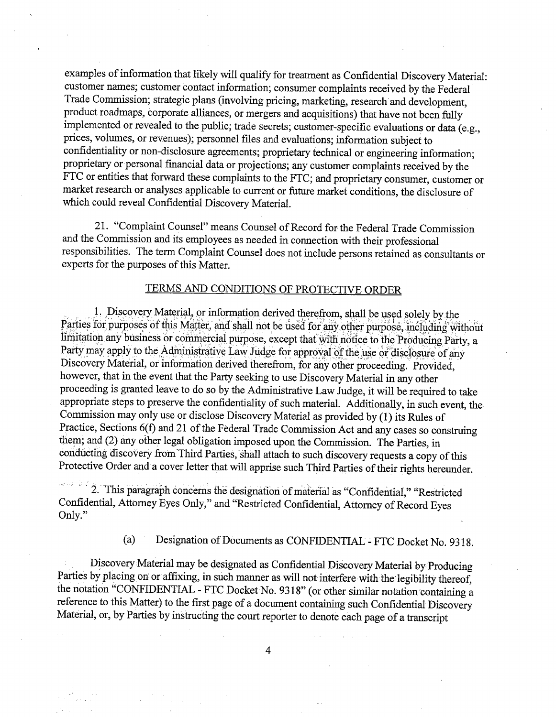examples of information that likely will qualify for treatment as Confdential Discovery Material: customer names; customer contact information; consumer complaints received by the Federal Trade Commission; strategic plans (involving pricing, marketing, research and development product roadmaps, corporate allances, or mergers and acquisitions) that have not been fully implemented or revealed to the public; trade secrets; customer-specific evaluations or data (e.g., prices, volumes, or revenues); personnel files and evaluations; information subject to confidentiality or non-disclosure agreements; proprietary technical or engineering information; proprietary or personal financial data or projections; any customer complaints received by the FTC or entities that forward these complaints to the FTC; and proprietary consumer, customer or market research or analyses applicable to curent or futue market conditions, the disclosure of which could reveal Confdential Discovery Material.

21. "Complaint Counsel" means Counsel of Record for the Federal Trade Commission and the Commission and its employees as needed in connection with their professional responsibilities. The term Complaint Counsel does not include persons retained as consultants or experts for the puroses of this Matter.

# TERMS AND CONDITIONS OF PROTECTIVE ORDER

1. Discovery Material, or information derived therefrom, shall be used solely by the Parties for purposes of this Matter, and shall not be used for any other purpose, including without limitation any business or commercial purpose, except that with notice to the Producing Party, a nification any business of commercial purpose, except that with houce to the Producing Party<br>Party may apply to the Administrative Law Judge for approval of the use or disclosure of any Discovery Material, or information derived therefrom, for any other proceeding. Provided however, that in the event that the Party seeking to use Discovery Material in any other proceeding is granted leave to do so by the Administrative Law Judge, it will be required to take appropriate steps to preserve the confdentiality of such material. Additionally, in such event, the Commission may only use or disclose Discovery Material as provided by (1) its Rules of Practice, Sections 6(f) and 21 of the Federal Trade Commission Act and any cases so construing them; and (2) any other legal obligation imposed upon the Commission. The Paries, in conducting discovery from Third Parties, shall attach to such discovery requests a copy of this Protective Order and a cover letter that will apprise such Third Parties of their rights hereunder.

v, 2. This paragraph concerns the designation of material as "Confidential," "Restricted Confidential, Attorney Eyes Only," and "Restricted Confdential, Attorney of Record Eyes Only."

# (a) Designation of Documents as CONFIDENTIAL - FTC Docket No. 9318.

Discovery Material may be designated as Confidential Discovery Material by Producing Parties by placing on or affixing, in such manner as will not interfere with the legibility thereof, the notation "CONFIDENTIAL - FTC Docket No. 9318" (or other similar notation containing a reference to this Matter) to the first page of a document containing such Confidential Discovery Material, or, by Paries by instructing the court reporter to denote each page of a transcript

 $\boldsymbol{4}$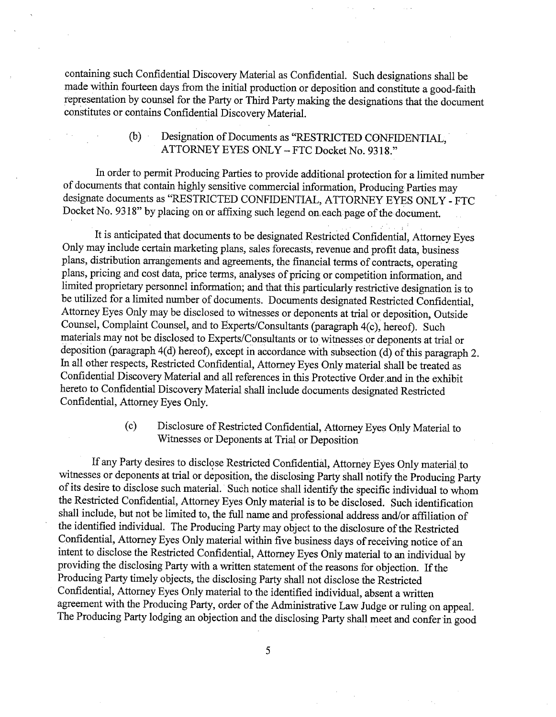containing such Confdential Discovery Material as Confdential. Such designations shall be made within fourteen days from the initial production or deposition and constitute a good-faith representation by counsel for the Party or Third Party making the designations that the document constitutes or contains Confdential Discovery Material.

## (b) Designation of Documents as "RESTRICTED CONFIDENTIA ATTORNEY EYES ONLY -- FTC Docket No. 9318."

In order to permit Producing Paries to provide additional protection for a limited number of documents that contain highly sensitive commercial information, Producing Paries may designate documents as "RESTRICTED CONFIDENTIAL, ATTORNEY EYES ONLY - FTC Docket No. 9318" by placing on or affixing such legend on; each page of the document.

It is anticipated that documents to be designated Restricted Confdential, Attorney Eyes Only may include certain marketing plans, sales forecasts, revenue and profit data, business plans, distribution arangements and agreements, the fmancial terms of contracts, operating plans, pricing and cost data, price terms, analyses of pricing or competition information, and limited proprietary personnel information; and that this particularly restrictive designation is to be utilized for a limited number of documents. Documents designated Restricted Confdential Attorney Eyes Only may be disclosed to witnesses or deponents at trial or deposition, Outside Counsel, Complaint Counsel, and to Experts/Consultants (paragraph 4(c), hereof). Such materials may not be disclosed to Experts/Consultants or to witnesses or deponents at trial or deposition (paragraph 4(d) hereof), except in accordance with subsection (d) of this paragraph 2. In all other respects, Restricted Confdential, Attorney Eyes Only material shall be treated as Confidential Discovery Material and all references in this Protective Order and in the exhibit hereto to Confdential Discovery Material shall include documents designated Restricted Confdential, Attorney Eyes Only.

> (c) Disclosure of Restrcted Confdential, Attorney Eyes Only Material to Witnesses or Deponents at Trial or Deposition

If any Party desires to disclose Restricted Confidential, Attorney Eyes Only material to witnesses or deponents at trial or deposition, the disclosing Party shall notify the Producing Party of its desire to disclose such material. Such notice shall identify the specific individual to whom the Restricted Confdential, Attorney Eyes Only material is to be disclosed. Such identification shall include, but not be limited to, the full name and professional address and/or affiliation of the identified individual. The Producing Party may object to the disclosure of the Restricted Confdential, Attorney Eyes Only material within five business days of receiving notice of an intent to disclose the Restricted Confdential, Attorney Eyes Only material to an individual by providing the disclosing Pary with a written statement of the reasons for objection. If the Producing Party timely objects, the disclosing Party shall not disclose the Restricted Confdential, Attorney Eyes Only material to the identified individual, absent a written agreement with the Producing Party, order of the Administrative Law Judge or ruling on appeal. The Producing Party lodging an objection and the disclosing Party shall meet and confer in good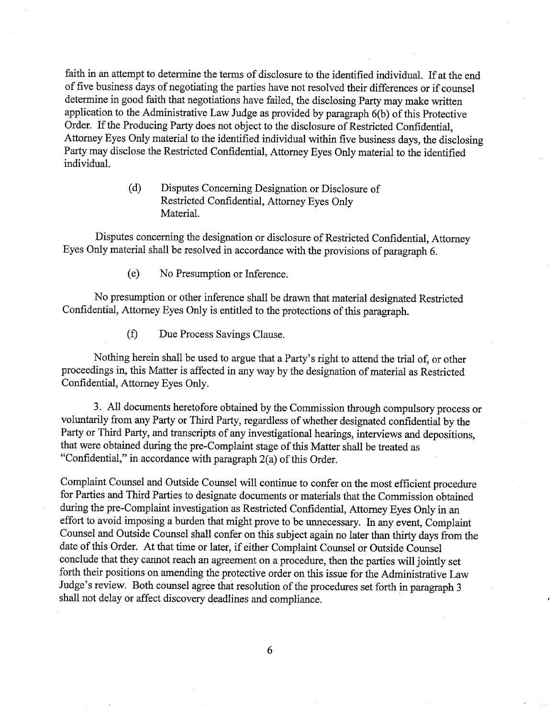faith in an attempt to determine the terms of disclosure to the identified individual. If at the end of five business days of negotiating the paries have not resolved their differences or if counsel determine in good faith that negotiations have failed, the disclosing Party may make written application to the Adminstrative Law Judge as provided by paragraph 6(b) of this Protective Order. If the Producing Party does not object to the disclosure of Restricted Confidential, Attorney Eyes Only material to the identified individual within five business days, the disclosing Party may disclose the Restricted Confidential, Attorney Eyes Only material to the identified individual.

# (d) Disputes Concerning Designation or Disclosure of Restricted Confdential, Attorney Eyes Only Material.

Disputes concerning the designation or disclosure of Restricted Confidential, Attorney Eyes Only material shall be resolved in accordance with the provisions of paragraph 6.

(e) No Presumption or Inference.

No presumption or other inference shall be drawn that material designated Restricted Confdential, Attorney Eyes Only is entitled to the protections of this paragraph.

(f) Due Process Savings Clause.

Nothing herein shall be used to argue that a Party's right to attend the trial of, or other proceedings in, this Matter is affected in any way by the designation of material as Restricted Confidential, Attorney Eyes Only.

3. All documents heretofore obtained by the. Commission through compulsory process or voluntarily from any Party or Third Party, regardless of whether designated confidential by the Party or Third Party, and transcripts of any investigational hearings, interviews and depositions, that were obtained during the pre-Complaint stage of ths Matter shall be treated as "Confidential," in accordance with paragraph  $2(a)$  of this Order.

Complaint Counsel and Outside Counsel will continue to confer on the most efficient procedure for Paries and Third Paries to designate documents or materials that the Commission obtained during the pre-Complaint investigation as Restricted Confdential, Attorney Eyes Only in an effort to avoid imposing a burden that might prove to be unnecessary. In any event, Complaint Counsel and Outside Counsel shall confer on this subject again no later than thirty days from the date of this Order. At that time or later, if either Complaint Counsel or Outside Counsel conclude that they canot reach an agreement on a procedure, then the paries wil jointly set forth their positions on amending the protective order on this issue for the Administrative Law Judge's review. Both counsel agree that resolution of the procedures set forth in paragraph 3 shall not delay or affect discovery deadlines and compliance.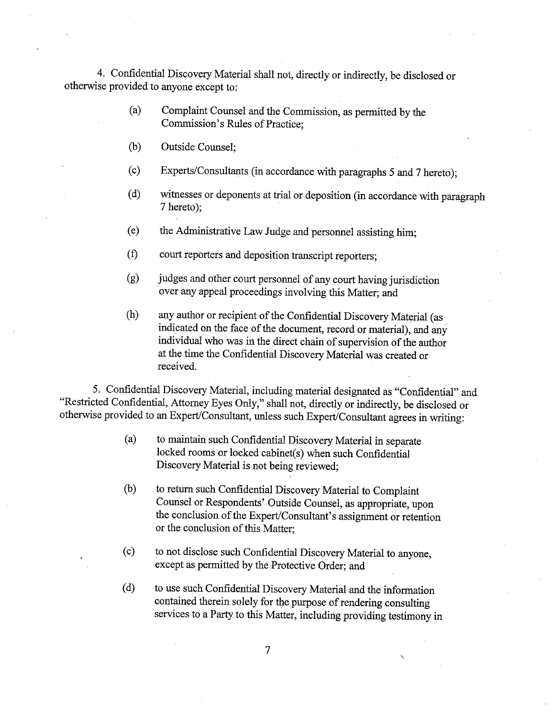4. Confdential Discovery Material shall not, directly or indirectly, be disclosed or otherwise provided to anyone except to:

- (a) Complaint Counsel and the Commission, as permitted by the Commission's Rules of Practice:
- (b) Outside Counsel;
- (c) Experts/Consultants (in accordance with paragraphs 5 and 7 hereto);
- (d) witnesses or deponents at trial or deposition (in accordance with paragraph 7 hereto);
- (e) the Administrative Law Judge and personnel assisting him;
- (f) court reporters and deposition transcript reporters;
- $(g)$ judges and other court personnel of any court having jurisdiction over any appeal proceedings involving this Matter; and
- (h) any author or recipient of the Confdential Discovery Material (as indicated on the face of the document, record or material), and any individual who was in the direct chain of supervision of the author at the time the Confidential Discovery Material was created or received.

5. Confidential Discovery Material, including material designated as "Confdential" and Restricted Confdential, Attorney Eyes Only," shall not, directly or indirectly, be disclosed or otherwise provided to an Expert/Consultant, unless such Expert/Consultant agrees in writing:

- (a) to maintain such Confidential Discovery Material in separate locked rooms or locked cabinet(s) when such Confidential Discovery Material is not being reviewed;
- (b) to return such Confdential Discovery Material to Complaint Counsel or Respondents' Outside Counsel, as appropriate, upon the conclusion of the Expert/Consultant's assignment or retention or the conclusion of this Matter;
- (c) to not disclose such Confdential Discovery Material to anyone except as permitted by the Protective Order; and
- (d) to use such Confdential Discovery Material and the information contained therein solely for the purose of rendering consulting services to a Party to this Matter, including providing testimony in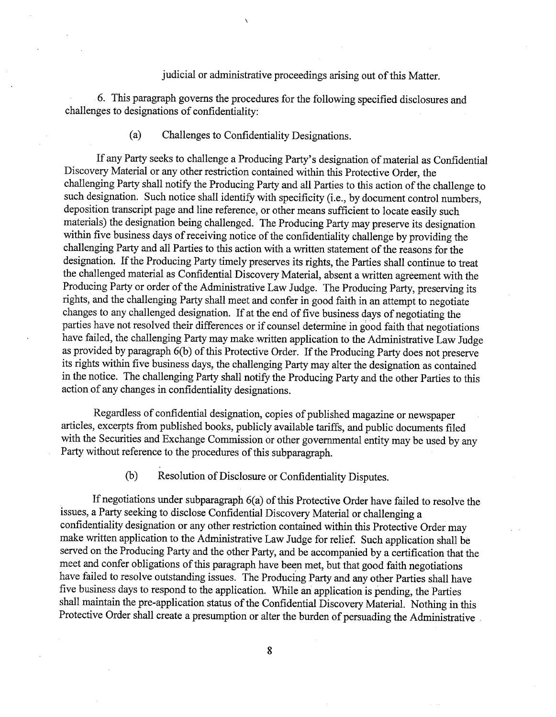### judicial or administrative proceedings arising out of this Matter.

6. This paragraph governs the procedures for the following specified disclosures and challenges to designations of confdentiality:

(a) Challenges to Confdentiality Designations.

If any Party seeks to challenge a Producing Party's designation of material as Confidential Discovery Material or any other restriction contained within this Protective Order, the challenging Party shall notify the Producing Party and all Parties to this action of the challenge to such designation. Such notice shall identify with specificity (i.e., by document control numbers, deposition transcript page and line reference, or other means sufficient to locate easily such materials) the designation being challenged. The Producing Party may preserve its designation within five business days of receiving notice of the confdentiality challenge by providing the challenging Party and all Parties to this action with a written statement of the reasons for the designation. If the Producing Party timely preserves its rights, the Parties shall continue to treat the challenged material as Confidential Discovery Material, absent a written agreement with the Producing Party or order of the Administrative Law Judge. The Producing Party, preserving its rights, and the challenging Party shall meet and confer in good faith in an attempt to negotiate changes to any challenged designation. If at the end of five business days of negotiating the paries have not resolved their differences or if counsel determine in good faith that negotiations have failed, the challenging Party may make written application to the Administrative Law Judge as provided by paragraph  $6(b)$  of this Protective Order. If the Producing Party does not preserve its rights within five business days, the challenging Party may alter the designation as contained in the notice. The challenging Party shall notify the Producing Party and the other Parties to this action of any changes in confdentiality designations.

Regardless of confdential designation, copies of published magazine or newspaper aricles, excerpts from published books, publicly available tariffs, and public documents filed with the Securities and Exchange Commission or other governmental entity may be used by any Party without reference to the procedures of this subparagraph.

(b) Resolution of Disclosure or Confdentiality Disputes.

If negotiations under subparagraph  $6(a)$  of this Protective Order have failed to resolve the issues, a Party seeking to disclose Confidential Discovery Material or challenging a confdentiality designation or any other restriction contained withn this Protective Order may make written application to the Adminstrative Law Judge for relief. Such application shall be served on the Producing Pary and the other Pary, and be accompamed by a certification that the meet and confer obligations ofthis paragraph have been met, but that good faith negotiations have failed to resolve outstanding issues. The Producing Party and any other Parties shall have five business days to respond to the application. Whle an application is pending, the Paries shall maintain the pre-application status of the Confdential Discovery Material. Nothing in this Protective Order shall create a presumption or alter the burden of persuading the Administrative,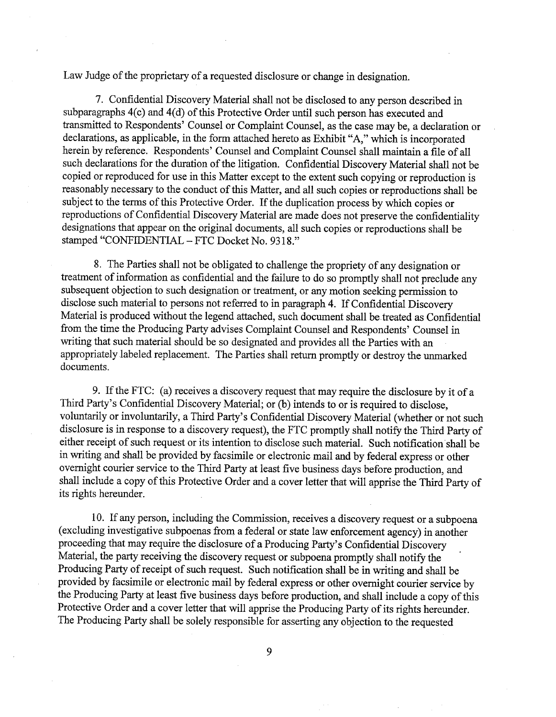Law Judge of the proprietary of a requested disclosure or change in designation.

7. Confdential Discovery Material shall not be disclosed to any person described in subparagraphs 4(c) and 4(d) of this Protective Order until such person has executed and transmitted to Respondents' Counsel or Complaint Counsel , as the case may be, a declaration or declarations, as applicable, in the form attached hereto as Exhibit "A," which is incorporated herein by reference. Respondents' Counsel and Complaint Counsel shall maintain a file of all such declarations for the duration of the litigation. Confidential Discovery Material shall not be copied or reproduced for use in this Matter except to the extent such copying or reproduction is reasonably necessary to the conduct of this Matter, and all such copies or reproductions shall be subject to the terms of this Protective Order. If the duplication process by which copies or reproductions of Confdential Discovery Material are made does not preserve the confdentiality designations that appear on the original documents, all such copies or reproductions shall be stamped "CONFIDENTIAL - FTC Docket No. 9318."

8. The Paries shall not be obligated to challenge the propriety of any designation or treatment of information as confdential and the failure to do so promptly shall not preclude any subsequent objection to such designation or treatment, or any motion seeking permission to disclose such material to persons not referred to in paragraph 4. If Confidential Discovery Material is produced without the legend attached, such document shall be treated as Confdential from the time the Producing Party advises Complaint Counsel and Respondents' Counsel in writing that such material should be so designated and provides all the Paries with an appropriately labeled replacement. The Parties shall return promptly or destroy the unmarked documents.

9. If the FTC: (a) receives a discovery request that may require the disclosure by it of a Third Party's Confidential Discovery Material; or (b) intends to or is required to disclose, voluntarily or involuntarily, a Third Party's Confidential Discovery Material (whether or not such disclosure is in response to a discovery request), the FTC promptly shall notify the Third Party of either receipt of such request or its intention to disclose such material. Such notification shall be in writing and shall be provided by facsimile or electronic mail and by federal express or other overnight courier service to the Third Party at least five business days before production, and shall include a copy of this Protective Order and a cover letter that will apprise the Third Party of its rights hereunder.

10. If any person, including the Commission, receives a discovery request or a subpoena (excluding investigative subpoenas from a federal or state law enforcement agency) in another proceeding that may require the disclosure of a Producing Party's Confidential Discovery Material, the party receiving the discovery request or subpoena promptly shall notify the Producing Party of receipt of such request. Such notification shall be in writing and shall be provided by facsimile or electronic mail by federal express or other overnght courier service by the Producing Party at least five business days before production, and shall include a copy of this Protective Order and a cover letter that will apprise the Producing Party of its rights hereunder. The Producing Party shall be solely responsible for asserting any objection to the requested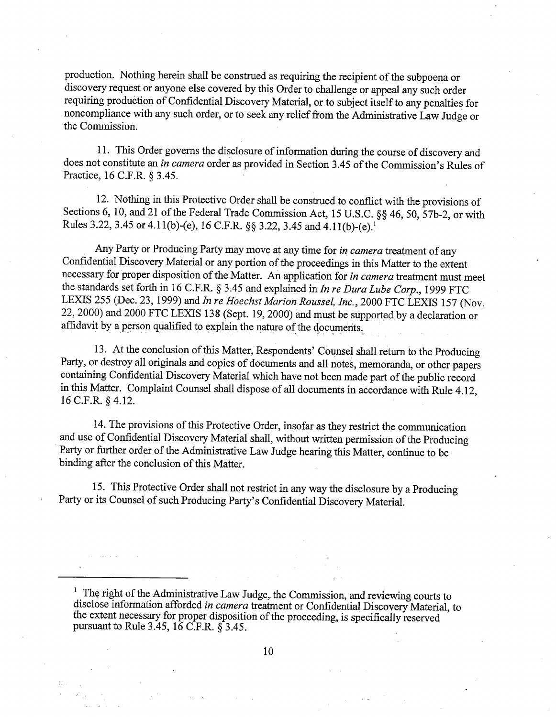production. Nothing herein shall be construed as requiring the recipient of the subpoena or discovery request or anyone else covered by this Order to challenge or appeal any such order requiring production of Confidential Discovery Material, or to subject itself to any penalties for noncompliance with any such order, or to seek any relief from the Administrative Law Judge or the Commission.

11. This Order governs the disclosure of information during the course of discovery and does not constitute an *in camera* order as provided in Section 3.45 of the Commission's Rules of Practice, 16 C.F.R. § 3.45.

12. Nothing in this Protective Order shall be constred to confict with the provisions of Sections 6, 10, and 21 of the Federal Trade Commission Act, 15 U.S.C. §§ 46, 50, 57b-2, or with Rules 3.22, 3.45 or 4.11(b)-(e), 16 C.F.R. §§ 3.22, 3.45 and 4.11(b)-(e).<sup>1</sup>

Any Party or Producing Party may move at any time for in camera treatment of any Confdential Discovery Material or any portion of the proceedings in this Matter to the extent necessary for proper disposition of the Matter. An application for in camera treatment must meet the standards set forth in 16 C.F.R. § 3.45 and explained in In re Dura Lube Corp., 1999 FTC LEXIS 255 (Dec. 23, 1999) and In re Hoechst Marion Roussel, Inc., 2000 FTC LEXIS 157 (Nov. 22, 2000) and 2000 FTC LEXIS 138 (Sept. 19, 2000) and must be supported by a declaration or affidavit by a person qualified to explain the nature of the documents.

13. At the conclusion of this Matter, Respondents' Counsel shall return to the Producing Party, or destroy all originals and copies of documents and all notes, memoranda, or other papers containing Confidential Discovery Material which have not been made part of the public record in this Matter. Complaint Counsel shall dispose of all documents in accordance with Rule 4. 16 C.F.R. § 4.12.

14. The provisions of this Protective Order, insofar as they restrict the communcation and use of Confdential Discovery Material shall, without written permission of the Producing Party or further order of the Administrative Law Judge hearing this Matter, continue to be binding after the conclusion of this Matter.

15. This Protective Order shall not restrict in any way the disclosure by a Producing Party or its Counsel of such Producing Party's Confidential Discovery Material.

 $1$  The right of the Administrative Law Judge, the Commission, and reviewing courts to disclose information afforded in camera treatment or Confidential Discovery Material, to the extent necessary for proper disposition of the proceeding, is specifically reserved pursuant to Rule 3.45,  $16 \text{ C.F.R. }$  \$ 3.45.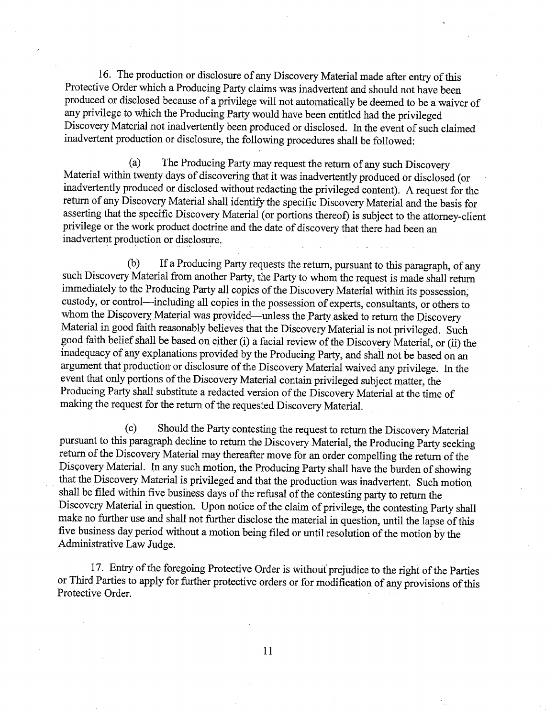16. The production or disclosure of any Discovery Material made after entry of this Protective Order which a Producing Party claims was inadvertent and should not have been produced or disclosed because of a privilege will not automatically be deemed to be a waiver of any privilege to which the Producing Party would have been entitled had the privileged Discovery Material not inadvertently been produced or disclosed. In the event of such claimed inadvertent production or disclosure, the following procedures shall be followed:

(a) The Producing Party may request the return of any such Discovery Material within twenty days of discovering that it was inadvertently produced or disclosed (or inadvertently produced or disclosed without redacting the privileged content). A request for the return of any Discovery Material shall identify the specific Discovery Material and the basis for asserting that the specific Discovery Material (or portions thereof) is subject to the attorney-client privilege or the work product doctrine and the date of discovery that there had been an inadvertent production or disclosure.

 $(b)$  If a Producing Party requests the return, pursuant to this paragraph, of any such Discovery Material from another Party, the Party to whom the request is made shall return immediately to the Producing Party all copies of the Discovery Material within its possession, custody, or control-including all copies in the possession of experts, consultants, or others to whom the Discovery Material was provided-unless the Party asked to return the Discovery Material in good faith reasonably believes that the Discovery Material is not privileged. Such good faith belief shall be based on either (i) a facial review of the Discovery Material, or (ii) the inadequacy of any explanations provided by the Producing Party, and shall not be based on an argument that production or disclosure of the Discovery Material waived any privilege. In the event that only portions of the Discovery Material contain privileged subject matter, the Producing Party shall substitute a redacted version of the Discovery Material at the time of making the request for the return of the requested Discovery Material.

(c) Should the Party contesting the request to return the Discovery Material pursuant to this paragraph decline to return the Discovery Material, the Producing Party seeking return of the Discovery Material may thereafter move for an order compelling the return of the Discovery Material. In any such motion, the Producing Party shall have the burden of showing that the Discovery Material is privileged and that the production was inadvertent. Such motion shall be filed within five business days of the refusal of the contesting party to return the Discovery Material in question. Upon notice of the claim of privilege, the contesting Pary shall make no further use and shall not further disclose the material in question, until the lapse of this five business day period without a motion being filed or until resolution of the motion by the Adminstrative Law Judge.

17. Entry of the foregoing Protective Order is without prejudice to the right of the Parties or Third Parties to apply for further protective orders or for modification of any provisions of this Protective Order.